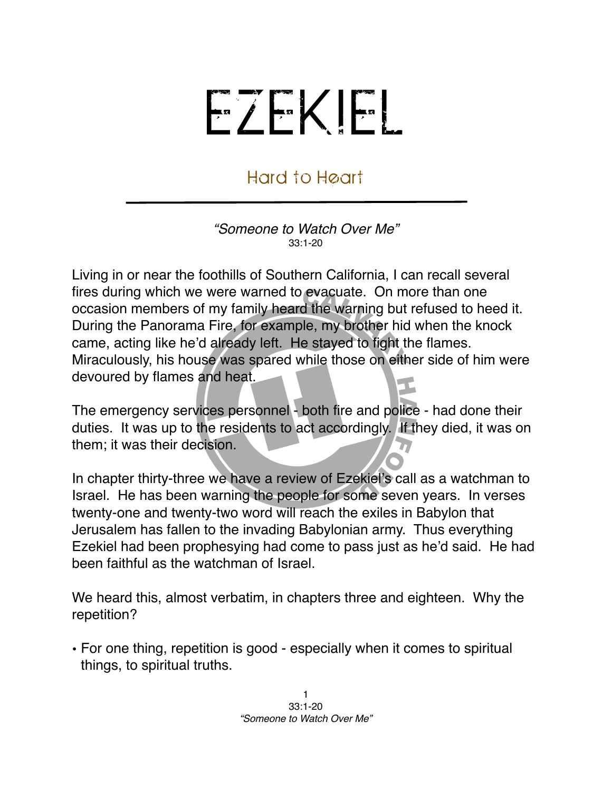## EZEKIEL

## Hard to Heart

*"Someone to Watch Over Me"* 33:1-20

Living in or near the foothills of Southern California, I can recall several fires during which we were warned to evacuate. On more than one occasion members of my family heard the warning but refused to heed it. During the Panorama Fire, for example, my brother hid when the knock came, acting like he'd already left. He stayed to fight the flames. Miraculously, his house was spared while those on either side of him were devoured by flames and heat.

The emergency services personnel - both fire and police - had done their duties. It was up to the residents to act accordingly. If they died, it was on them; it was their decision.

In chapter thirty-three we have a review of Ezekiel's call as a watchman to Israel. He has been warning the people for some seven years. In verses twenty-one and twenty-two word will reach the exiles in Babylon that Jerusalem has fallen to the invading Babylonian army. Thus everything Ezekiel had been prophesying had come to pass just as he'd said. He had been faithful as the watchman of Israel.

We heard this, almost verbatim, in chapters three and eighteen. Why the repetition?

• For one thing, repetition is good - especially when it comes to spiritual things, to spiritual truths.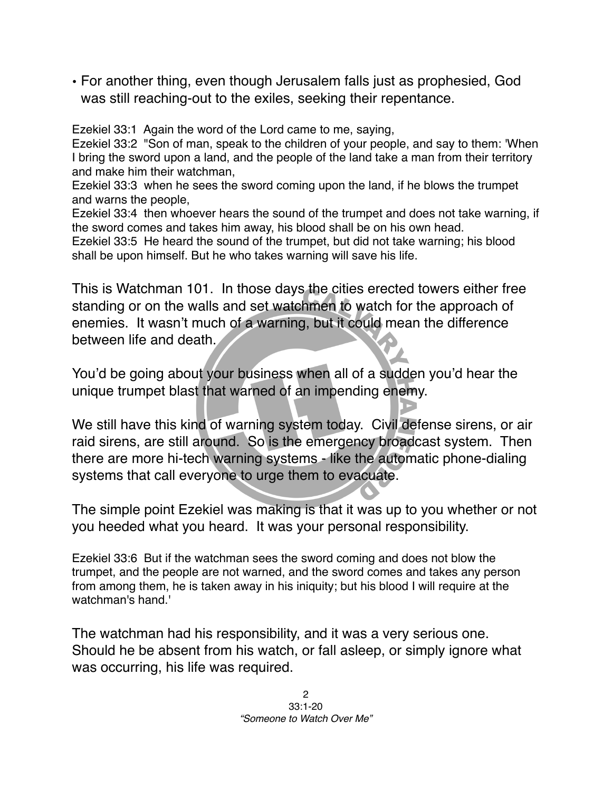• For another thing, even though Jerusalem falls just as prophesied, God was still reaching-out to the exiles, seeking their repentance.

Ezekiel 33:1 Again the word of the Lord came to me, saying,

Ezekiel 33:2 "Son of man, speak to the children of your people, and say to them: 'When I bring the sword upon a land, and the people of the land take a man from their territory and make him their watchman,

Ezekiel 33:3 when he sees the sword coming upon the land, if he blows the trumpet and warns the people,

Ezekiel 33:4 then whoever hears the sound of the trumpet and does not take warning, if the sword comes and takes him away, his blood shall be on his own head. Ezekiel 33:5 He heard the sound of the trumpet, but did not take warning; his blood shall be upon himself. But he who takes warning will save his life.

This is Watchman 101. In those days the cities erected towers either free standing or on the walls and set watchmen to watch for the approach of enemies. It wasn't much of a warning, but it could mean the difference between life and death.

You'd be going about your business when all of a sudden you'd hear the unique trumpet blast that warned of an impending enemy.

We still have this kind of warning system today. Civil defense sirens, or air raid sirens, are still around. So is the emergency broadcast system. Then there are more hi-tech warning systems - like the automatic phone-dialing systems that call everyone to urge them to evacuate.

The simple point Ezekiel was making is that it was up to you whether or not you heeded what you heard. It was your personal responsibility.

Ezekiel 33:6 But if the watchman sees the sword coming and does not blow the trumpet, and the people are not warned, and the sword comes and takes any person from among them, he is taken away in his iniquity; but his blood I will require at the watchman's hand.'

The watchman had his responsibility, and it was a very serious one. Should he be absent from his watch, or fall asleep, or simply ignore what was occurring, his life was required.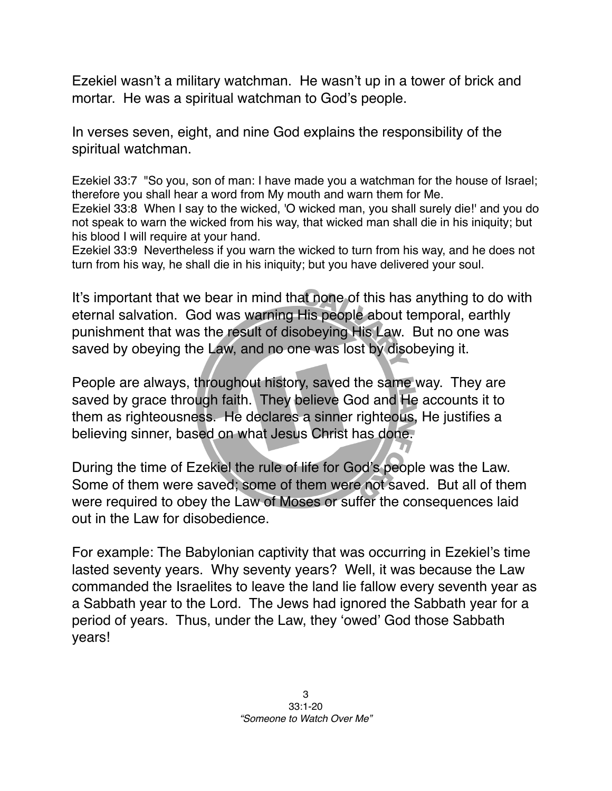Ezekiel wasn't a military watchman. He wasn't up in a tower of brick and mortar. He was a spiritual watchman to God's people.

In verses seven, eight, and nine God explains the responsibility of the spiritual watchman.

Ezekiel 33:7 "So you, son of man: I have made you a watchman for the house of Israel; therefore you shall hear a word from My mouth and warn them for Me. Ezekiel 33:8 When I say to the wicked, 'O wicked man, you shall surely die!' and you do not speak to warn the wicked from his way, that wicked man shall die in his iniquity; but his blood I will require at your hand.

Ezekiel 33:9 Nevertheless if you warn the wicked to turn from his way, and he does not turn from his way, he shall die in his iniquity; but you have delivered your soul.

It's important that we bear in mind that none of this has anything to do with eternal salvation. God was warning His people about temporal, earthly punishment that was the result of disobeying His Law. But no one was saved by obeying the Law, and no one was lost by disobeying it.

People are always, throughout history, saved the same way. They are saved by grace through faith. They believe God and He accounts it to them as righteousness. He declares a sinner righteous, He justifies a believing sinner, based on what Jesus Christ has done.

During the time of Ezekiel the rule of life for God's people was the Law. Some of them were saved; some of them were not saved. But all of them were required to obey the Law of Moses or suffer the consequences laid out in the Law for disobedience.

For example: The Babylonian captivity that was occurring in Ezekiel's time lasted seventy years. Why seventy years? Well, it was because the Law commanded the Israelites to leave the land lie fallow every seventh year as a Sabbath year to the Lord. The Jews had ignored the Sabbath year for a period of years. Thus, under the Law, they ʻowed' God those Sabbath years!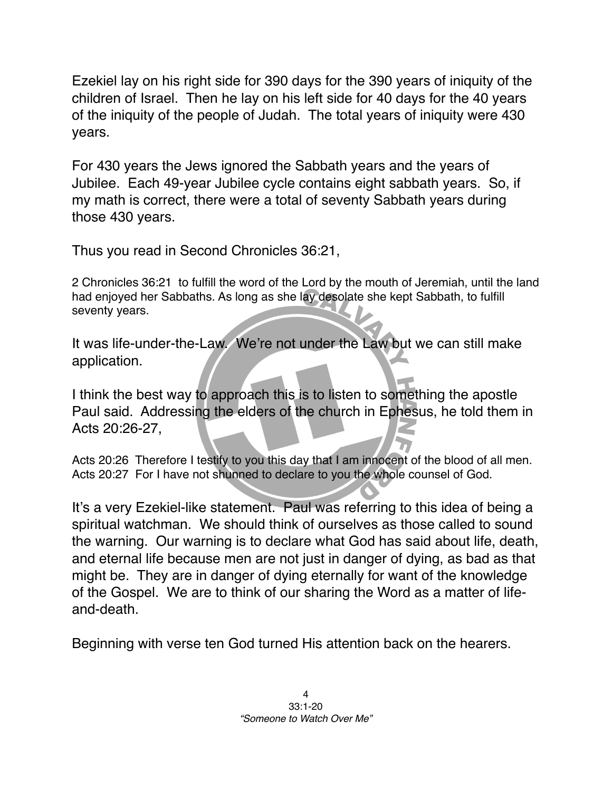Ezekiel lay on his right side for 390 days for the 390 years of iniquity of the children of Israel. Then he lay on his left side for 40 days for the 40 years of the iniquity of the people of Judah. The total years of iniquity were 430 years.

For 430 years the Jews ignored the Sabbath years and the years of Jubilee. Each 49-year Jubilee cycle contains eight sabbath years. So, if my math is correct, there were a total of seventy Sabbath years during those 430 years.

Thus you read in Second Chronicles 36:21,

2 Chronicles 36:21 to fulfill the word of the Lord by the mouth of Jeremiah, until the land had enjoyed her Sabbaths. As long as she lay desolate she kept Sabbath, to fulfill seventy years.

It was life-under-the-Law. We're not under the Law but we can still make application.

I think the best way to approach this is to listen to something the apostle Paul said. Addressing the elders of the church in Ephesus, he told them in Acts 20:26-27,

Acts 20:26 Therefore I testify to you this day that I am innocent of the blood of all men. Acts 20:27 For I have not shunned to declare to you the whole counsel of God.

It's a very Ezekiel-like statement. Paul was referring to this idea of being a spiritual watchman. We should think of ourselves as those called to sound the warning. Our warning is to declare what God has said about life, death, and eternal life because men are not just in danger of dying, as bad as that might be. They are in danger of dying eternally for want of the knowledge of the Gospel. We are to think of our sharing the Word as a matter of lifeand-death.

Beginning with verse ten God turned His attention back on the hearers.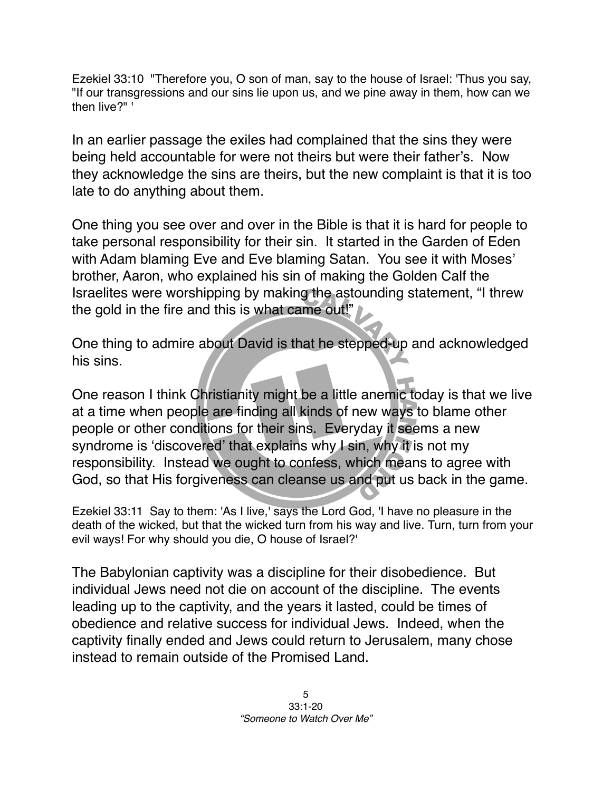Ezekiel 33:10 "Therefore you, O son of man, say to the house of Israel: 'Thus you say, "If our transgressions and our sins lie upon us, and we pine away in them, how can we then live?" '

In an earlier passage the exiles had complained that the sins they were being held accountable for were not theirs but were their father's. Now they acknowledge the sins are theirs, but the new complaint is that it is too late to do anything about them.

One thing you see over and over in the Bible is that it is hard for people to take personal responsibility for their sin. It started in the Garden of Eden with Adam blaming Eve and Eve blaming Satan. You see it with Moses' brother, Aaron, who explained his sin of making the Golden Calf the Israelites were worshipping by making the astounding statement, "I threw the gold in the fire and this is what came out!"

One thing to admire about David is that he stepped-up and acknowledged his sins.

One reason I think Christianity might be a little anemic today is that we live at a time when people are finding all kinds of new ways to blame other people or other conditions for their sins. Everyday it seems a new syndrome is 'discovered' that explains why I sin, why it is not my responsibility. Instead we ought to confess, which means to agree with God, so that His forgiveness can cleanse us and put us back in the game.

Ezekiel 33:11 Say to them: 'As I live,' says the Lord God, 'I have no pleasure in the death of the wicked, but that the wicked turn from his way and live. Turn, turn from your evil ways! For why should you die, O house of Israel?'

The Babylonian captivity was a discipline for their disobedience. But individual Jews need not die on account of the discipline. The events leading up to the captivity, and the years it lasted, could be times of obedience and relative success for individual Jews. Indeed, when the captivity finally ended and Jews could return to Jerusalem, many chose instead to remain outside of the Promised Land.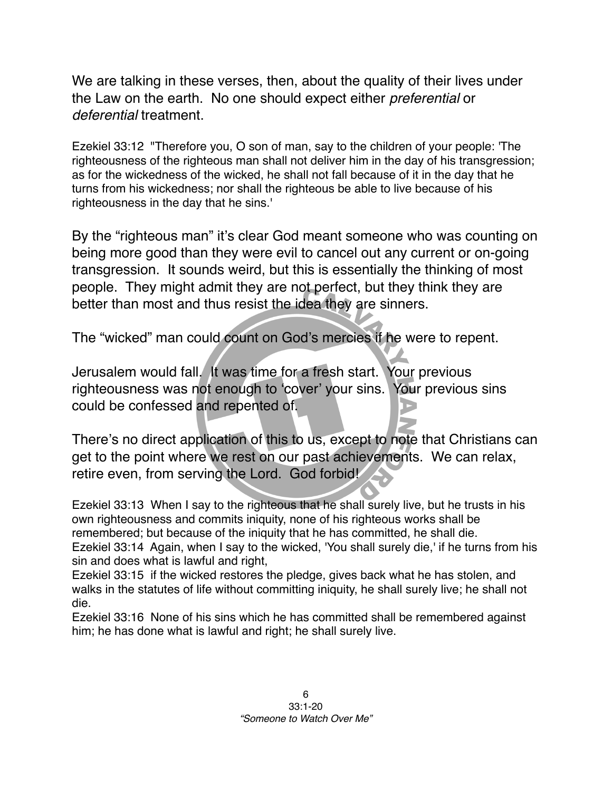We are talking in these verses, then, about the quality of their lives under the Law on the earth. No one should expect either *preferential* or *deferential* treatment.

Ezekiel 33:12 "Therefore you, O son of man, say to the children of your people: 'The righteousness of the righteous man shall not deliver him in the day of his transgression; as for the wickedness of the wicked, he shall not fall because of it in the day that he turns from his wickedness; nor shall the righteous be able to live because of his righteousness in the day that he sins.'

By the "righteous man" it's clear God meant someone who was counting on being more good than they were evil to cancel out any current or on-going transgression. It sounds weird, but this is essentially the thinking of most people. They might admit they are not perfect, but they think they are better than most and thus resist the idea they are sinners.

The "wicked" man could count on God's mercies if he were to repent.

Jerusalem would fall. It was time for a fresh start. Your previous righteousness was not enough to ʻcover' your sins. Your previous sins could be confessed and repented of.

There's no direct application of this to us, except to note that Christians can get to the point where we rest on our past achievements. We can relax, retire even, from serving the Lord. God forbid!

Ezekiel 33:13 When I say to the righteous that he shall surely live, but he trusts in his own righteousness and commits iniquity, none of his righteous works shall be remembered; but because of the iniquity that he has committed, he shall die. Ezekiel 33:14 Again, when I say to the wicked, 'You shall surely die,' if he turns from his sin and does what is lawful and right,

Ezekiel 33:15 if the wicked restores the pledge, gives back what he has stolen, and walks in the statutes of life without committing iniquity, he shall surely live; he shall not die.

Ezekiel 33:16 None of his sins which he has committed shall be remembered against him; he has done what is lawful and right; he shall surely live.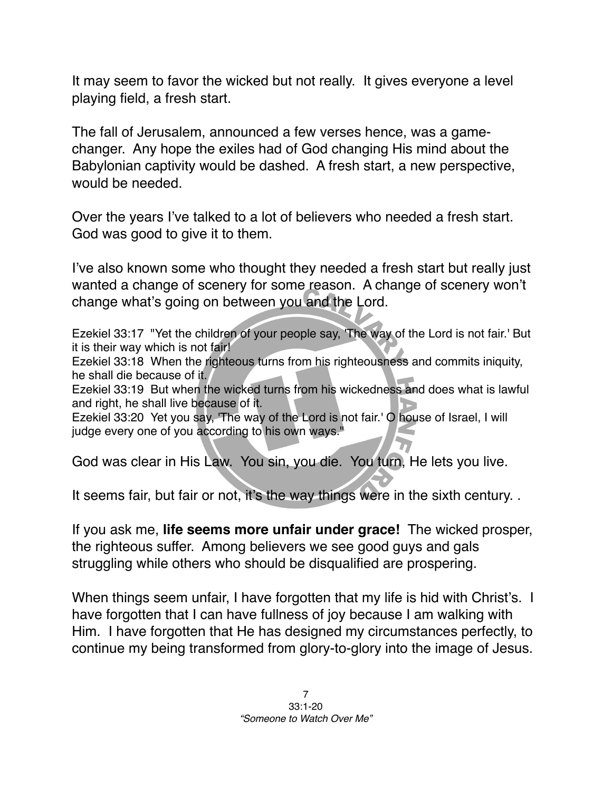It may seem to favor the wicked but not really. It gives everyone a level playing field, a fresh start.

The fall of Jerusalem, announced a few verses hence, was a gamechanger. Any hope the exiles had of God changing His mind about the Babylonian captivity would be dashed. A fresh start, a new perspective, would be needed.

Over the years I've talked to a lot of believers who needed a fresh start. God was good to give it to them.

I've also known some who thought they needed a fresh start but really just wanted a change of scenery for some reason. A change of scenery won't change what's going on between you and the Lord.

Ezekiel 33:17 "Yet the children of your people say, 'The way of the Lord is not fair.' But it is their way which is not fair!

Ezekiel 33:18 When the righteous turns from his righteousness and commits iniquity, he shall die because of it.

Ezekiel 33:19 But when the wicked turns from his wickedness and does what is lawful and right, he shall live because of it.

Ezekiel 33:20 Yet you say, 'The way of the Lord is not fair.' O house of Israel, I will judge every one of you according to his own ways."

God was clear in His Law. You sin, you die. You turn, He lets you live.

It seems fair, but fair or not, it's the way things were in the sixth century. .

If you ask me, **life seems more unfair under grace!** The wicked prosper, the righteous suffer. Among believers we see good guys and gals struggling while others who should be disqualified are prospering.

When things seem unfair, I have forgotten that my life is hid with Christ's. I have forgotten that I can have fullness of joy because I am walking with Him. I have forgotten that He has designed my circumstances perfectly, to continue my being transformed from glory-to-glory into the image of Jesus.